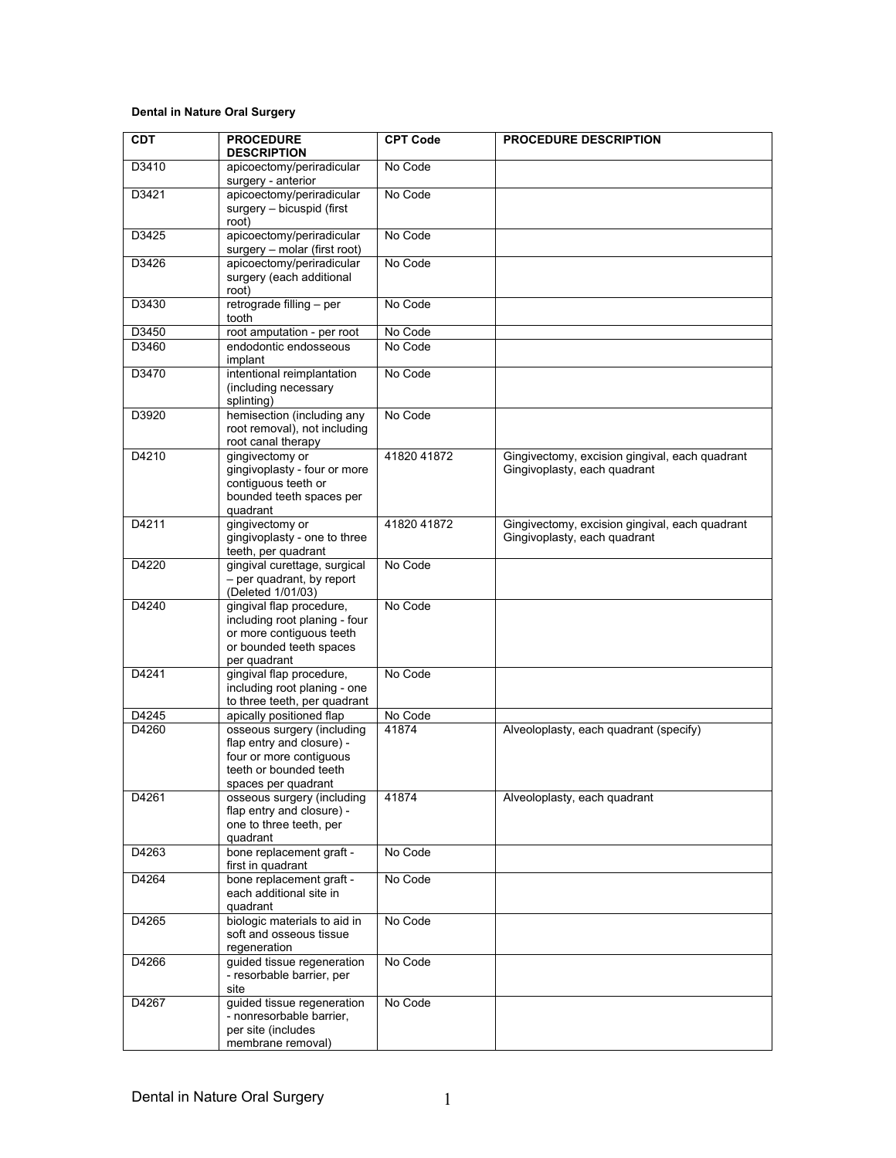## **Dental in Nature Oral Surgery**

| <b>CDT</b>     | <b>PROCEDURE</b><br><b>DESCRIPTION</b>                                                                                              | <b>CPT Code</b>    | PROCEDURE DESCRIPTION                                                          |
|----------------|-------------------------------------------------------------------------------------------------------------------------------------|--------------------|--------------------------------------------------------------------------------|
| D3410          | apicoectomy/periradicular<br>surgery - anterior                                                                                     | No Code            |                                                                                |
| D3421          | apicoectomy/periradicular<br>surgery - bicuspid (first<br>root)                                                                     | No Code            |                                                                                |
| D3425          | apicoectomy/periradicular<br>surgery - molar (first root)                                                                           | No Code            |                                                                                |
| D3426          | apicoectomy/periradicular<br>surgery (each additional<br>root)                                                                      | No Code            |                                                                                |
| D3430          | retrograde filling - per<br>tooth                                                                                                   | No Code            |                                                                                |
| D3450<br>D3460 | root amputation - per root<br>endodontic endosseous<br>implant                                                                      | No Code<br>No Code |                                                                                |
| D3470          | intentional reimplantation<br>(including necessary<br>splinting)                                                                    | No Code            |                                                                                |
| D3920          | hemisection (including any<br>root removal), not including<br>root canal therapy                                                    | No Code            |                                                                                |
| D4210          | gingivectomy or<br>gingivoplasty - four or more<br>contiguous teeth or<br>bounded teeth spaces per<br>quadrant                      | 41820 41872        | Gingivectomy, excision gingival, each quadrant<br>Gingivoplasty, each quadrant |
| D4211          | gingivectomy or<br>gingivoplasty - one to three<br>teeth, per quadrant                                                              | 41820 41872        | Gingivectomy, excision gingival, each quadrant<br>Gingivoplasty, each quadrant |
| D4220          | gingival curettage, surgical<br>- per quadrant, by report<br>(Deleted 1/01/03)                                                      | No Code            |                                                                                |
| D4240          | gingival flap procedure,<br>including root planing - four<br>or more contiguous teeth<br>or bounded teeth spaces<br>per quadrant    | No Code            |                                                                                |
| D4241          | gingival flap procedure,<br>including root planing - one<br>to three teeth, per quadrant                                            | No Code            |                                                                                |
| D4245          | apically positioned flap                                                                                                            | No Code            |                                                                                |
| D4260          | osseous surgery (including<br>flap entry and closure) -<br>four or more contiguous<br>teeth or bounded teeth<br>spaces per quadrant | 41874              | Alveoloplasty, each quadrant (specify)                                         |
| D4261          | osseous surgery (including<br>flap entry and closure) -<br>one to three teeth, per<br>quadrant                                      | 41874              | Alveoloplasty, each quadrant                                                   |
| D4263          | bone replacement graft -<br>first in quadrant                                                                                       | No Code            |                                                                                |
| D4264          | bone replacement graft -<br>each additional site in<br>quadrant                                                                     | No Code            |                                                                                |
| D4265          | biologic materials to aid in<br>soft and osseous tissue<br>regeneration                                                             | No Code            |                                                                                |
| D4266          | guided tissue regeneration<br>- resorbable barrier, per<br>site                                                                     | No Code            |                                                                                |
| D4267          | guided tissue regeneration<br>- nonresorbable barrier,<br>per site (includes<br>membrane removal)                                   | No Code            |                                                                                |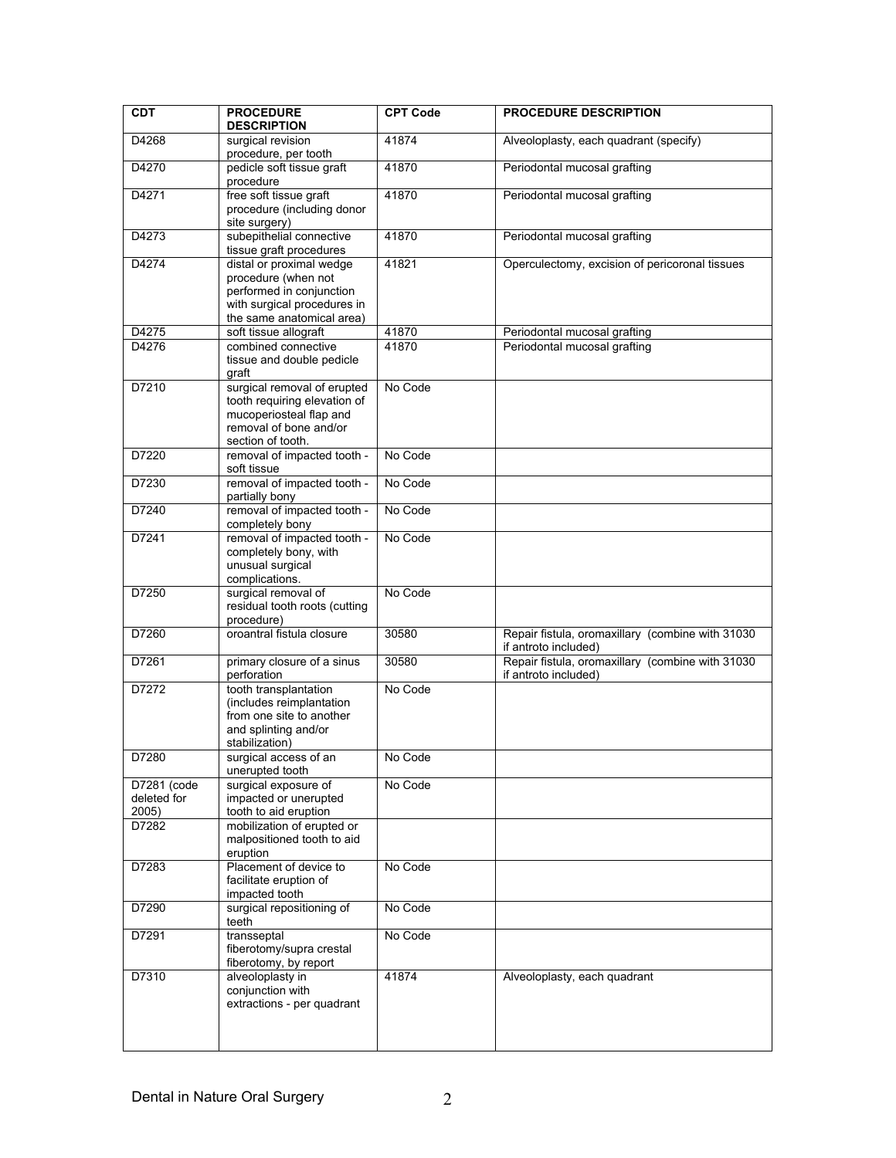| CDT                                 | <b>PROCEDURE</b><br><b>DESCRIPTION</b>                                                                                                  | <b>CPT Code</b> | <b>PROCEDURE DESCRIPTION</b>                                             |
|-------------------------------------|-----------------------------------------------------------------------------------------------------------------------------------------|-----------------|--------------------------------------------------------------------------|
| D4268                               | surgical revision                                                                                                                       | 41874           | Alveoloplasty, each quadrant (specify)                                   |
|                                     | procedure, per tooth                                                                                                                    |                 |                                                                          |
| D4270                               | pedicle soft tissue graft<br>procedure                                                                                                  | 41870           | Periodontal mucosal grafting                                             |
| D4271                               | free soft tissue graft<br>procedure (including donor<br>site surgery)                                                                   | 41870           | Periodontal mucosal grafting                                             |
| D4273                               | subepithelial connective<br>tissue graft procedures                                                                                     | 41870           | Periodontal mucosal grafting                                             |
| D4274                               | distal or proximal wedge<br>procedure (when not<br>performed in conjunction<br>with surgical procedures in<br>the same anatomical area) | 41821           | Operculectomy, excision of pericoronal tissues                           |
| D4275                               | soft tissue allograft                                                                                                                   | 41870           | Periodontal mucosal grafting                                             |
| D4276                               | combined connective<br>tissue and double pedicle<br>graft                                                                               | 41870           | Periodontal mucosal grafting                                             |
| D7210                               | surgical removal of erupted<br>tooth requiring elevation of<br>mucoperiosteal flap and<br>removal of bone and/or<br>section of tooth.   | No Code         |                                                                          |
| D7220                               | removal of impacted tooth -<br>soft tissue                                                                                              | No Code         |                                                                          |
| D7230                               | removal of impacted tooth -<br>partially bony                                                                                           | No Code         |                                                                          |
| D7240                               | removal of impacted tooth -<br>completely bony                                                                                          | No Code         |                                                                          |
| D7241                               | removal of impacted tooth -<br>completely bony, with<br>unusual surgical<br>complications.                                              | No Code         |                                                                          |
| D7250                               | surgical removal of<br>residual tooth roots (cutting<br>procedure)                                                                      | No Code         |                                                                          |
| D7260                               | oroantral fistula closure                                                                                                               | 30580           | Repair fistula, oromaxillary (combine with 31030<br>if antroto included) |
| D7261                               | primary closure of a sinus<br>perforation                                                                                               | 30580           | Repair fistula, oromaxillary (combine with 31030<br>if antroto included) |
| D7272                               | tooth transplantation<br>(includes reimplantation<br>from one site to another<br>and splinting and/or<br>stabilization)                 | No Code         |                                                                          |
| D7280                               | surgical access of an<br>unerupted tooth                                                                                                | No Code         |                                                                          |
| D7281 (code<br>deleted for<br>2005) | surgical exposure of<br>impacted or unerupted<br>tooth to aid eruption                                                                  | No Code         |                                                                          |
| D7282                               | mobilization of erupted or<br>malpositioned tooth to aid<br>eruption                                                                    |                 |                                                                          |
| D7283                               | Placement of device to<br>facilitate eruption of<br>impacted tooth                                                                      | No Code         |                                                                          |
| D7290                               | surgical repositioning of<br>teeth                                                                                                      | No Code         |                                                                          |
| D7291                               | transseptal<br>fiberotomy/supra crestal<br>fiberotomy, by report                                                                        | No Code         |                                                                          |
| D7310                               | alveoloplasty in<br>conjunction with<br>extractions - per quadrant                                                                      | 41874           | Alveoloplasty, each quadrant                                             |